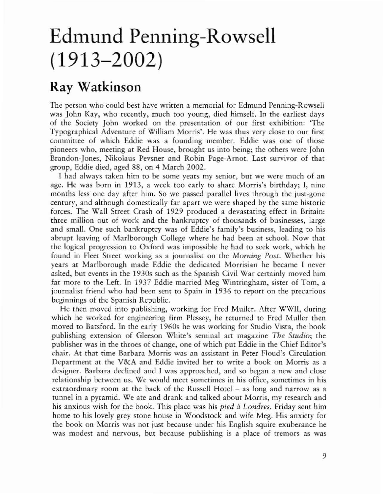## Edmund Penning-Rowsell (1913-2002)

## Ray Watkinson

The person who could best have written a memorial for Edmund Penning-Rowsell was John Kay, who recently, much roo young, died himself. In the earliest days of the Society John worked on the presentation of our first exhibition: 'The Typographical Adventure of \Villiam Morris'. He was thus very close to our first committee of which Eddie was a founding member. Eddie was one of those pioneers who, meeting at Red House, brought us into being; the others were John Brandon-Jones, Nikolaus Pevsner and Robin Pagc-Arnot. Last survivor of that group, Eddie died, aged 88, on 4 March 2002.

I had always taken him to be some years my senior, but we were much of an age. He was born in 1913, a week too early to share Morris's birthday; I, nine months less one day after him. So we passed parallel lives through the just-gone century, and although domestically far apart we were shaped by the same historic forces. The Wall Street Crash of 1929 produced a devastating effect in Britain: three million out of work and the bankruptcy of thousands of businesses, large and small. One such bankruptcy was of Eddie's family's business, leading to his abrupt leaving of Marlborough College where he had been at school. Now that the logical progression to Oxford was impossible he had to seek work, which he found in Fleet Street working as a journalise on the *Morning Post.* Whether his years at Marlborough made Eddie the dedicated Morrisian he became I never asked, but events in the 1930s such as the Spanish Civil War certainly moved him far more to the Left. In 1937 Eddie married Meg Wintringham, sister of Tom, a journalist friend who had been sent to Spain in 1936 to reporr on the precarious beginnings of the Spanish Republic.

He then moved into publishing, working for Fred Muller. After WWlI, during which he worked for engineering firm Plessey, he returned to Fred Muller then moved to Batsford. In the early 1960s he was working for Studio Vista, the book publishing extension of Gleeson White's seminal arr magazine *The Studio;* the publisher was in the throes of change, one of which put Eddie in the Chief Editor's chair. At that time Barbara Morris was an assistant in Peter Floud's Circulation Department at the V&A and Eddie invited her to write a book on Morris as a designer. Barbara declined and I was approached, and so began a new and close relationship between us. We would meet sometimes in his office, sometimes in his extraordinary room at the back of the Russell Hotel - as long and narrow as a runnel in a pyramid. We ate and drank and talked about Morris, my research and his anxious wish for the book. This place was his *pied à Londres*. Friday sent him home to his lovely grey stone house in Woodstock and wife Meg. His anxiety for the book on Morris was not just because under his English squire exuberance he was modest and nervous, but because publishing is a place of tremors as was